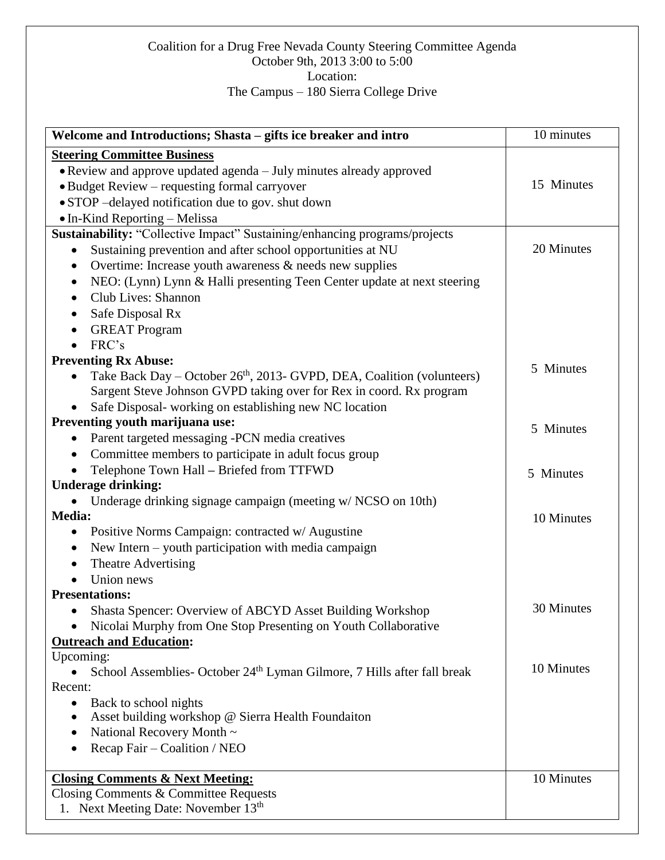## Coalition for a Drug Free Nevada County Steering Committee Agenda October 9th, 2013 3:00 to 5:00 Location: The Campus – 180 Sierra College Drive

| Welcome and Introductions; Shasta - gifts ice breaker and intro                     | 10 minutes |
|-------------------------------------------------------------------------------------|------------|
| <b>Steering Committee Business</b>                                                  |            |
| • Review and approve updated agenda – July minutes already approved                 |            |
| • Budget Review – requesting formal carryover                                       | 15 Minutes |
| • STOP -delayed notification due to gov. shut down                                  |            |
| • In-Kind Reporting - Melissa                                                       |            |
| Sustainability: "Collective Impact" Sustaining/enhancing programs/projects          |            |
| Sustaining prevention and after school opportunities at NU                          | 20 Minutes |
| Overtime: Increase youth awareness & needs new supplies<br>$\bullet$                |            |
| NEO: (Lynn) Lynn & Halli presenting Teen Center update at next steering<br>٠        |            |
| Club Lives: Shannon                                                                 |            |
| Safe Disposal Rx                                                                    |            |
| <b>GREAT Program</b>                                                                |            |
| FRC's                                                                               |            |
| <b>Preventing Rx Abuse:</b>                                                         |            |
| Take Back Day – October 26 <sup>th</sup> , 2013- GVPD, DEA, Coalition (volunteers)  | 5 Minutes  |
| Sargent Steve Johnson GVPD taking over for Rex in coord. Rx program                 |            |
| Safe Disposal- working on establishing new NC location                              |            |
| Preventing youth marijuana use:                                                     | 5 Minutes  |
| Parent targeted messaging -PCN media creatives                                      |            |
| Committee members to participate in adult focus group                               |            |
| Telephone Town Hall - Briefed from TTFWD                                            | 5 Minutes  |
| <b>Underage drinking:</b>                                                           |            |
| Underage drinking signage campaign (meeting w/ NCSO on 10th)                        |            |
| Media:                                                                              | 10 Minutes |
| Positive Norms Campaign: contracted w/ Augustine                                    |            |
| New Intern - youth participation with media campaign                                |            |
| Theatre Advertising                                                                 |            |
| Union news                                                                          |            |
| <b>Presentations:</b>                                                               |            |
| Shasta Spencer: Overview of ABCYD Asset Building Workshop                           | 30 Minutes |
| Nicolai Murphy from One Stop Presenting on Youth Collaborative                      |            |
| <b>Outreach and Education:</b>                                                      |            |
| Upcoming:                                                                           | 10 Minutes |
| School Assemblies- October 24 <sup>th</sup> Lyman Gilmore, 7 Hills after fall break |            |
| Recent:                                                                             |            |
| Back to school nights<br>Asset building workshop @ Sierra Health Foundaiton         |            |
| National Recovery Month ~                                                           |            |
| Recap Fair – Coalition / NEO                                                        |            |
|                                                                                     |            |
| <b>Closing Comments &amp; Next Meeting:</b>                                         | 10 Minutes |
| Closing Comments & Committee Requests                                               |            |
| 1. Next Meeting Date: November 13 <sup>th</sup>                                     |            |
|                                                                                     |            |